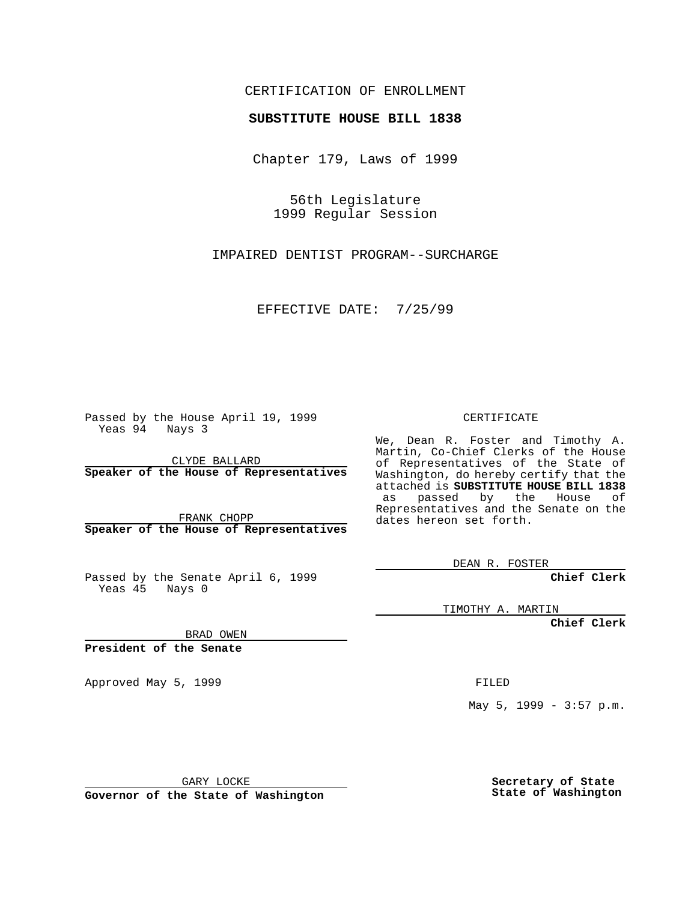## CERTIFICATION OF ENROLLMENT

## **SUBSTITUTE HOUSE BILL 1838**

Chapter 179, Laws of 1999

56th Legislature 1999 Regular Session

IMPAIRED DENTIST PROGRAM--SURCHARGE

EFFECTIVE DATE: 7/25/99

Passed by the House April 19, 1999 Yeas 94 Nays 3

CLYDE BALLARD **Speaker of the House of Representatives**

FRANK CHOPP **Speaker of the House of Representatives**

Passed by the Senate April 6, 1999 Yeas 45 Nays 0

CERTIFICATE

We, Dean R. Foster and Timothy A. Martin, Co-Chief Clerks of the House of Representatives of the State of Washington, do hereby certify that the attached is **SUBSTITUTE HOUSE BILL 1838** as passed by the House of Representatives and the Senate on the dates hereon set forth.

DEAN R. FOSTER

**Chief Clerk**

TIMOTHY A. MARTIN

**Chief Clerk**

BRAD OWEN

**President of the Senate**

Approved May 5, 1999 **FILED** 

May 5, 1999 - 3:57 p.m.

GARY LOCKE

**Governor of the State of Washington**

**Secretary of State State of Washington**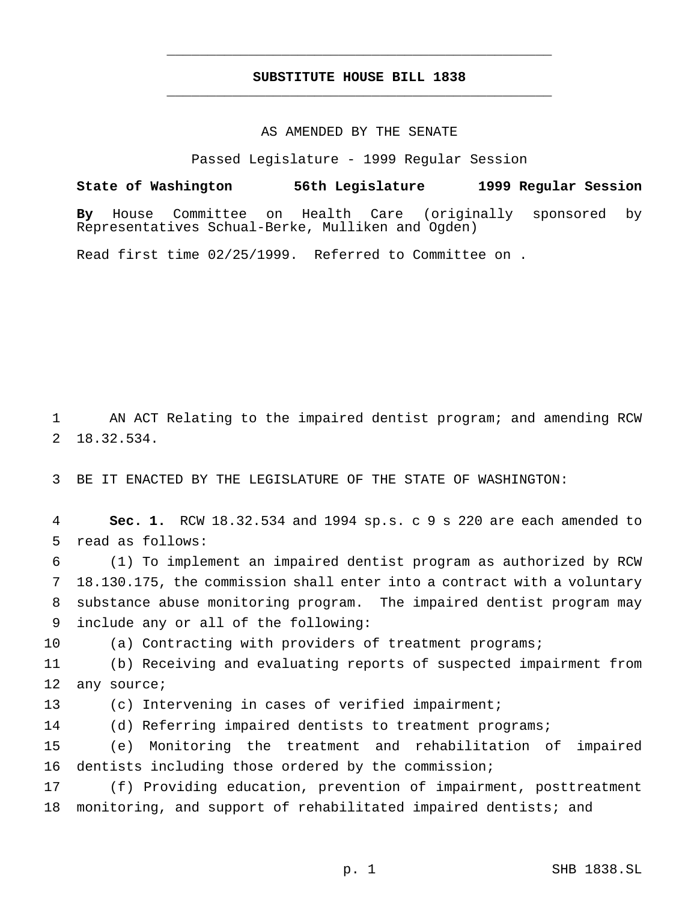## **SUBSTITUTE HOUSE BILL 1838** \_\_\_\_\_\_\_\_\_\_\_\_\_\_\_\_\_\_\_\_\_\_\_\_\_\_\_\_\_\_\_\_\_\_\_\_\_\_\_\_\_\_\_\_\_\_\_

\_\_\_\_\_\_\_\_\_\_\_\_\_\_\_\_\_\_\_\_\_\_\_\_\_\_\_\_\_\_\_\_\_\_\_\_\_\_\_\_\_\_\_\_\_\_\_

## AS AMENDED BY THE SENATE

Passed Legislature - 1999 Regular Session

**State of Washington 56th Legislature 1999 Regular Session By** House Committee on Health Care (originally sponsored by Representatives Schual-Berke, Mulliken and Ogden)

Read first time 02/25/1999. Referred to Committee on .

1 AN ACT Relating to the impaired dentist program; and amending RCW 2 18.32.534.

3 BE IT ENACTED BY THE LEGISLATURE OF THE STATE OF WASHINGTON:

4 **Sec. 1.** RCW 18.32.534 and 1994 sp.s. c 9 s 220 are each amended to 5 read as follows:

 (1) To implement an impaired dentist program as authorized by RCW 18.130.175, the commission shall enter into a contract with a voluntary substance abuse monitoring program. The impaired dentist program may include any or all of the following:

10 (a) Contracting with providers of treatment programs;

11 (b) Receiving and evaluating reports of suspected impairment from 12 any source;

13 (c) Intervening in cases of verified impairment;

14 (d) Referring impaired dentists to treatment programs;

15 (e) Monitoring the treatment and rehabilitation of impaired 16 dentists including those ordered by the commission;

17 (f) Providing education, prevention of impairment, posttreatment 18 monitoring, and support of rehabilitated impaired dentists; and